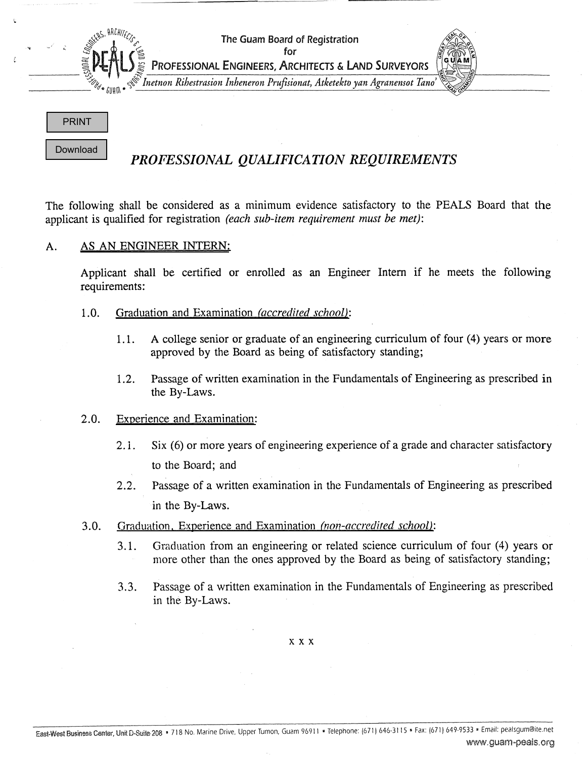

# *PROFESSIONAL QUALIFICATION REQUIREMENTS*

applicant is qualified for registration *(each sub-item requirement must be met):*

### A. AS AN ENGINEER INTERN:

Applicant shall be certified or enrolled as an Engineer Intern if he meets the following requirements:

- 1.0. Graduation and Examination *(accredited school)*:
	- approved by the Board as being of satisfactory standing;
	- 1.2. Passage of written examination in the Fundamentals of Engineering as prescribed in the By-Laws.

#### 2.0. Experience and Examination

- 2.1. Six (6) or more years of engineering experience of a grade and character satisfactory to the Board; and
- 2.1. A college senior or graduate of an engineering curriculum of four (4) years or more<br>approved by the Board as being of suisfactory standing;<br>
1.2. Passage of written examination in the Fundamentals of Engineering as p 2.2. Passage of a written examination in the Fundamentals of Engineering as prescribed in the By-Laws. **PROFESSIONAL QUALIFICATION REQUIREMENTS**<br> **We considered as a minimum evidence satisfiestry to the PEALS Board that distance in the metallical for registration (see** *minimum evidence satisfiestry to the PEALS Board that*
	- 3.0. Graduation, Experience and Examination *(non-accredited school)*:
		- 3.1. Graduation from an engineering or related science curriculum of four (4) years or more other than the ones approved by the Board as being of satisfactory standing;
		- 3.3. Passage of a written examination in the Fundamentals of Engineering as prescribed in the By-Laws.

xxx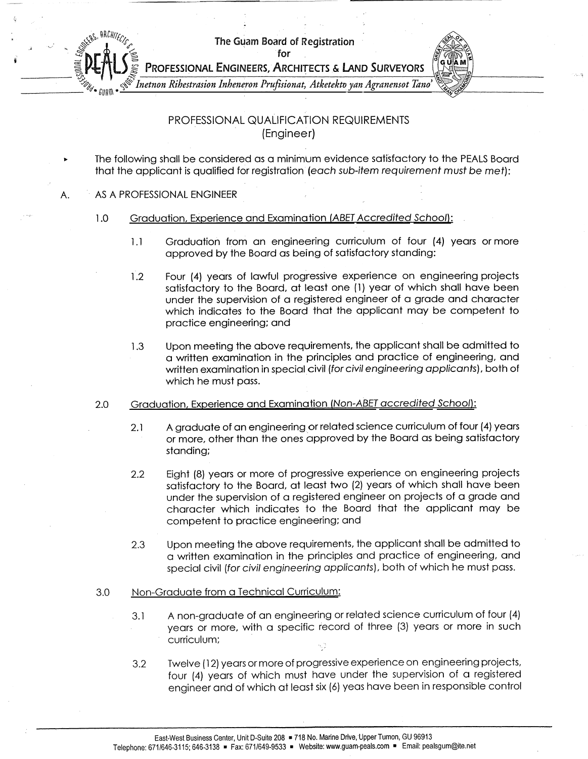The Guam Board of Registration

for



*#Inetnon Rihestrasion Inheneron Prufisionat, Atketektoyan Agranensot Tano*

## PROFESSIONAL QUALIFICATION REQUIREMENTS (Engineer)

- The following shall be considered as a minimum evidence satisfactory to the PEALS Board that the applicant is qualified for registration (each sub-item requirement must be met):
- A. AS A PROFESSIONAL ENGINEER
	- 1.0 Graduation, Experience and Examination (ABET Accredited School):
		- 1.1 Graduation from an engineering curriculum of four (4) years or more approved by the Board as being of satisfactory standing:
		- 1.2 Four (4) years of lawful progressive experience on engineering projects satisfactory to the Board, at least one (1) year of which shall have been under the supervision of a registered engineer of a grade and character which indicates to the Board that the applicant may be competent to practice engineering; and
		- 1.3 Upon meeting the above requirements, the applicant shall be admitted to a written examination in the principles and practice of engineering, and written examination in special civil (for civil engineering applicants), both of which he must pass.
	- 2.0 Graduation, Experience and Examination (Non-ABET accredited School):
		- 2.1 A graduate of an engineering or related science curriculum of four (4) years or more, other than the ones approved by the Board as being satisfactory standing;
		- 2.2 Eight (8) years or more of progressive experience on engineering projects satisfactory to the Board, at least two (2) years of which shall have been under the supervision of a registered engineer on projects of a grade and character which indicates to the Board that the applicant may be competent to practice engineering; and
		- 2.3 Upon meeting the above requirements, the applicant shall be admitted to a written examination in the principles and practice of engineering, and special civil (for civil engineering applicants), both of which he must pass.

#### 3.0 Non-Graduate from a Technical Curriculum

- years or more, with a specific record of three (3) years or more in such curriculum;
- 3.1 A non-graduate of an engineering or related science curriculum of four (4<br>
years or more, with a specific record of three (3) years or more in such<br>
curriculum;<br>
3.2 Twelve (12) years or more of progressive experience 3.2 Twelve (12) years ormore of progressive experience on engineering projects, four (4) years of which must have under the supervision of a registered engineer and of which at least six (6) yeas have been in responsible control